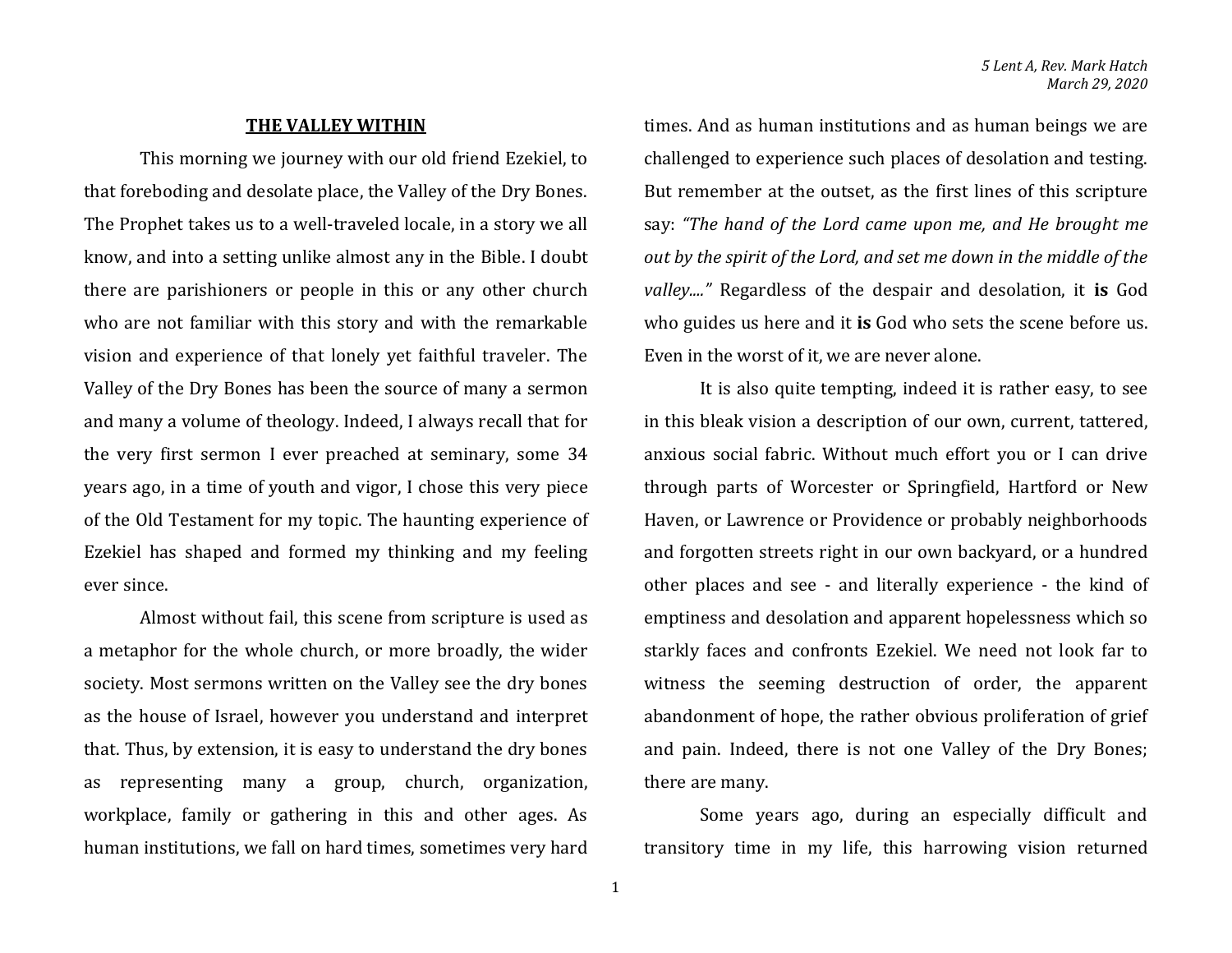## **THE VALLEY WITHIN**

This morning we journey with our old friend Ezekiel, to that foreboding and desolate place, the Valley of the Dry Bones. The Prophet takes us to a well-traveled locale, in a story we all know, and into a setting unlike almost any in the Bible. I doubt there are parishioners or people in this or any other church who are not familiar with this story and with the remarkable vision and experience of that lonely yet faithful traveler. The Valley of the Dry Bones has been the source of many a sermon and many a volume of theology. Indeed, I always recall that for the very first sermon I ever preached at seminary, some 34 years ago, in a time of youth and vigor, I chose this very piece of the Old Testament for my topic. The haunting experience of Ezekiel has shaped and formed my thinking and my feeling ever since.

Almost without fail, this scene from scripture is used as a metaphor for the whole church, or more broadly, the wider society. Most sermons written on the Valley see the dry bones as the house of Israel, however you understand and interpret that. Thus, by extension, it is easy to understand the dry bones as representing many a group, church, organization, workplace, family or gathering in this and other ages. As human institutions, we fall on hard times, sometimes very hard

times. And as human institutions and as human beings we are challenged to experience such places of desolation and testing. But remember at the outset, as the first lines of this scripture say: *"The hand of the Lord came upon me, and He brought me out by the spirit of the Lord, and set me down in the middle of the valley...."* Regardless of the despair and desolation, it **is** God who guides us here and it **is** God who sets the scene before us. Even in the worst of it, we are never alone.

It is also quite tempting, indeed it is rather easy, to see in this bleak vision a description of our own, current, tattered, anxious social fabric. Without much effort you or I can drive through parts of Worcester or Springfield, Hartford or New Haven, or Lawrence or Providence or probably neighborhoods and forgotten streets right in our own backyard, or a hundred other places and see - and literally experience - the kind of emptiness and desolation and apparent hopelessness which so starkly faces and confronts Ezekiel. We need not look far to witness the seeming destruction of order, the apparent abandonment of hope, the rather obvious proliferation of grief and pain. Indeed, there is not one Valley of the Dry Bones; there are many.

Some years ago, during an especially difficult and transitory time in my life, this harrowing vision returned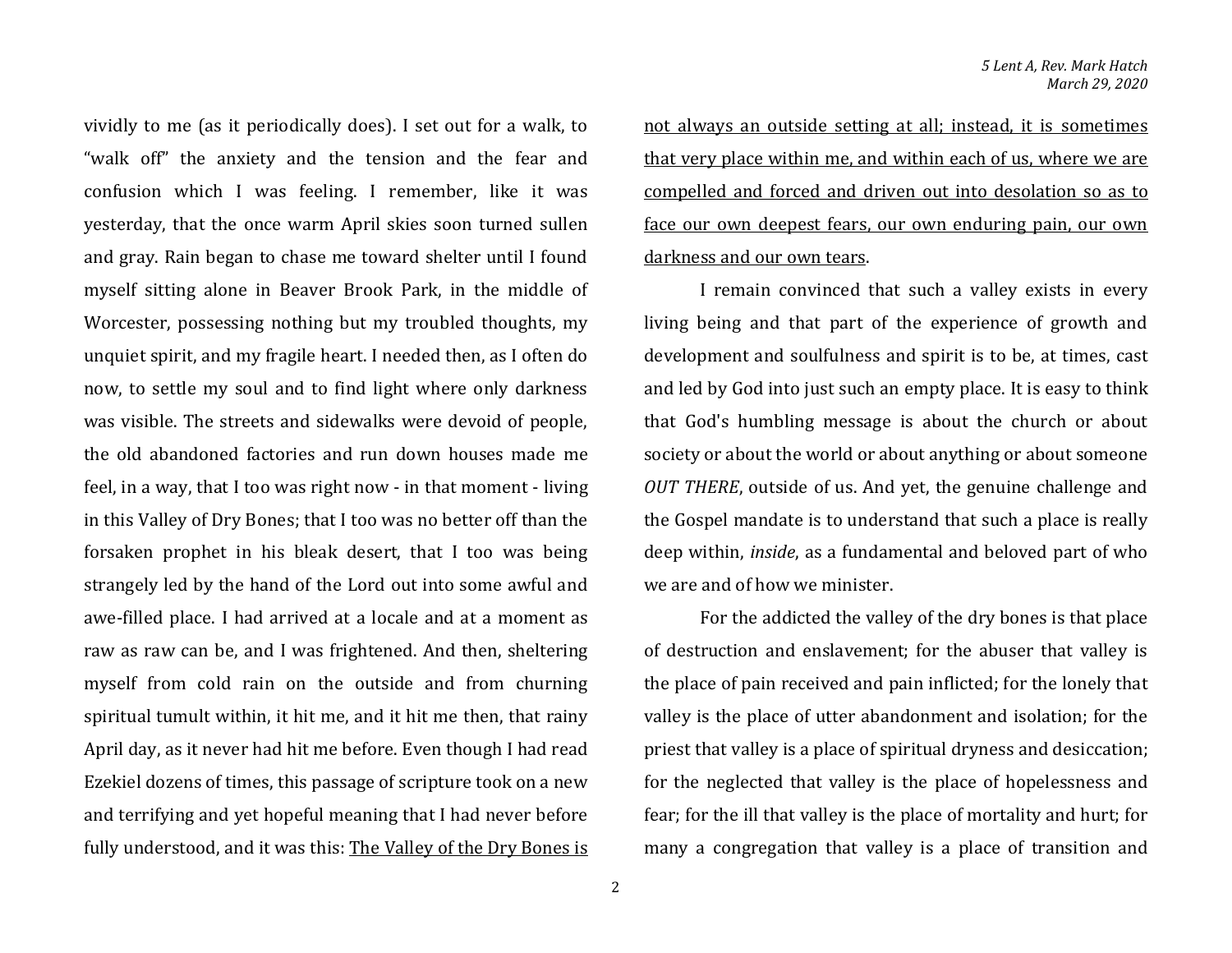vividly to me (as it periodically does). I set out for a walk, to "walk off" the anxiety and the tension and the fear and confusion which I was feeling. I remember, like it was yesterday, that the once warm April skies soon turned sullen and gray. Rain began to chase me toward shelter until I found myself sitting alone in Beaver Brook Park, in the middle of Worcester, possessing nothing but my troubled thoughts, my unquiet spirit, and my fragile heart. I needed then, as I often do now, to settle my soul and to find light where only darkness was visible. The streets and sidewalks were devoid of people, the old abandoned factories and run down houses made me feel, in a way, that I too was right now - in that moment - living in this Valley of Dry Bones; that I too was no better off than the forsaken prophet in his bleak desert, that I too was being strangely led by the hand of the Lord out into some awful and awe-filled place. I had arrived at a locale and at a moment as raw as raw can be, and I was frightened. And then, sheltering myself from cold rain on the outside and from churning spiritual tumult within, it hit me, and it hit me then, that rainy April day, as it never had hit me before. Even though I had read Ezekiel dozens of times, this passage of scripture took on a new and terrifying and yet hopeful meaning that I had never before fully understood, and it was this: The Valley of the Dry Bones is not always an outside setting at all; instead, it is sometimes that very place within me, and within each of us, where we are compelled and forced and driven out into desolation so as to face our own deepest fears, our own enduring pain, our own darkness and our own tears.

I remain convinced that such a valley exists in every living being and that part of the experience of growth and development and soulfulness and spirit is to be, at times, cast and led by God into just such an empty place. It is easy to think that God's humbling message is about the church or about society or about the world or about anything or about someone *OUT THERE*, outside of us. And yet, the genuine challenge and the Gospel mandate is to understand that such a place is really deep within, *inside*, as a fundamental and beloved part of who we are and of how we minister.

For the addicted the valley of the dry bones is that place of destruction and enslavement; for the abuser that valley is the place of pain received and pain inflicted; for the lonely that valley is the place of utter abandonment and isolation; for the priest that valley is a place of spiritual dryness and desiccation; for the neglected that valley is the place of hopelessness and fear; for the ill that valley is the place of mortality and hurt; for many a congregation that valley is a place of transition and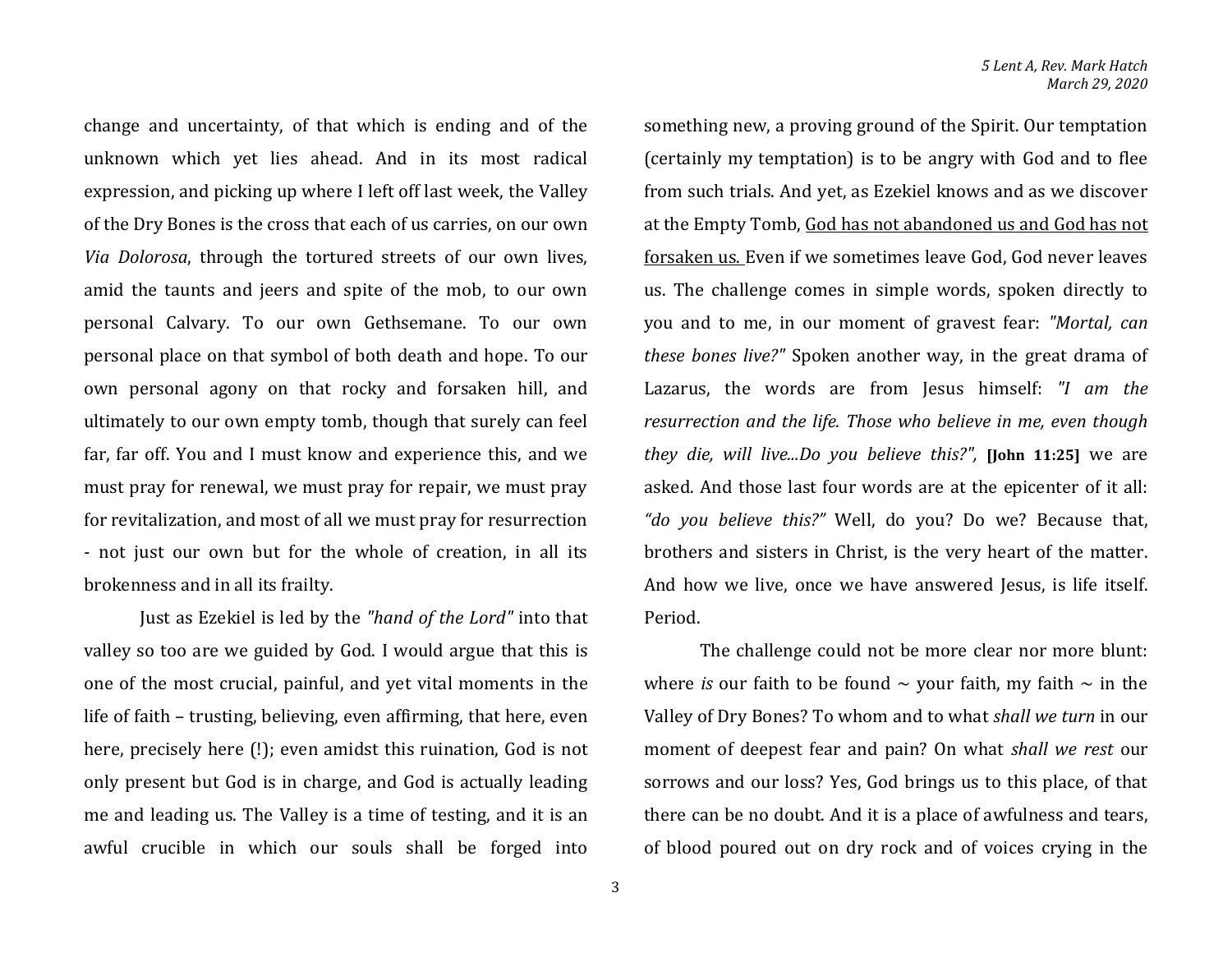change and uncertainty, of that which is ending and of the unknown which yet lies ahead. And in its most radical expression, and picking up where I left off last week, the Valley of the Dry Bones is the cross that each of us carries, on our own *Via Dolorosa*, through the tortured streets of our own lives, amid the taunts and jeers and spite of the mob, to our own personal Calvary. To our own Gethsemane. To our own personal place on that symbol of both death and hope. To our own personal agony on that rocky and forsaken hill, and ultimately to our own empty tomb, though that surely can feel far, far off. You and I must know and experience this, and we must pray for renewal, we must pray for repair, we must pray for revitalization, and most of all we must pray for resurrection - not just our own but for the whole of creation, in all its brokenness and in all its frailty.

Just as Ezekiel is led by the *"hand of the Lord"* into that valley so too are we guided by God. I would argue that this is one of the most crucial, painful, and yet vital moments in the life of faith – trusting, believing, even affirming, that here, even here, precisely here (!); even amidst this ruination, God is not only present but God is in charge, and God is actually leading me and leading us. The Valley is a time of testing, and it is an awful crucible in which our souls shall be forged into

(certainly my temptation) is to be angry with God and to flee from such trials. And yet, as Ezekiel knows and as we discover at the Empty Tomb, God has not abandoned us and God has not forsaken us. Even if we sometimes leave God, God never leaves us. The challenge comes in simple words, spoken directly to you and to me, in our moment of gravest fear: *"Mortal, can these bones live?"* Spoken another way, in the great drama of Lazarus, the words are from Jesus himself: *"I am the resurrection and the life. Those who believe in me, even though they die, will live...Do you believe this?",* **[John 11:25]** we are asked. And those last four words are at the epicenter of it all: *"do you believe this?"* Well, do you? Do we? Because that, brothers and sisters in Christ, is the very heart of the matter. And how we live, once we have answered Jesus, is life itself. Period.

something new, a proving ground of the Spirit. Our temptation

The challenge could not be more clear nor more blunt: where *is* our faith to be found  $\sim$  your faith, my faith  $\sim$  in the Valley of Dry Bones? To whom and to what *shall we turn* in our moment of deepest fear and pain? On what *shall we rest* our sorrows and our loss? Yes, God brings us to this place, of that there can be no doubt. And it is a place of awfulness and tears, of blood poured out on dry rock and of voices crying in the